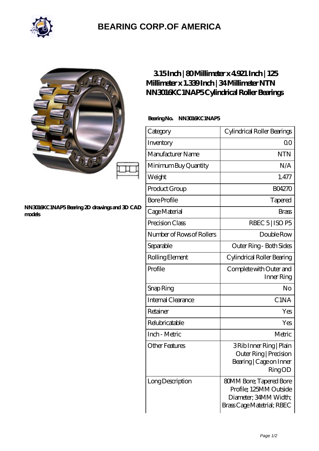

# **[BEARING CORP.OF AMERICA](https://bluemondayreview.com)**

#### **[NN3016KC1NAP5 Bearing 2D drawings and 3D CAD](https://bluemondayreview.com/pic-174960.html) [models](https://bluemondayreview.com/pic-174960.html)**

## **[3.15 Inch | 80 Millimeter x 4.921 Inch | 125](https://bluemondayreview.com/bd-174960-ntn-nn3016kc1nap5-cylindrical-roller-bearings.html) [Millimeter x 1.339 Inch | 34 Millimeter NTN](https://bluemondayreview.com/bd-174960-ntn-nn3016kc1nap5-cylindrical-roller-bearings.html) [NN3016KC1NAP5 Cylindrical Roller Bearings](https://bluemondayreview.com/bd-174960-ntn-nn3016kc1nap5-cylindrical-roller-bearings.html)**

### **Bearing No. NN3016KC1NAP5**

| Category                  | Cylindrical Roller Bearings                                                                                     |
|---------------------------|-----------------------------------------------------------------------------------------------------------------|
| Inventory                 | 0 <sup>0</sup>                                                                                                  |
| Manufacturer Name         | <b>NTN</b>                                                                                                      |
| Minimum Buy Quantity      | N/A                                                                                                             |
| Weight                    | 1.477                                                                                                           |
| Product Group             | <b>BO4270</b>                                                                                                   |
| <b>Bore Profile</b>       | Tapered                                                                                                         |
| Cage Material             | <b>Brass</b>                                                                                                    |
| Precision Class           | RBEC $5$ ISO P5                                                                                                 |
| Number of Rows of Rollers | Double Row                                                                                                      |
| Separable                 | Outer Ring - Both Sides                                                                                         |
| Rolling Element           | Cylindrical Roller Bearing                                                                                      |
| Profile                   | Complete with Outer and<br>Inner Ring                                                                           |
| Snap Ring                 | No                                                                                                              |
| <b>Internal Clearance</b> | C <sub>1</sub> NA                                                                                               |
| Retainer                  | Yes                                                                                                             |
| Relubricatable            | Yes                                                                                                             |
| Inch - Metric             | Metric                                                                                                          |
| Other Features            | 3 Rib Inner Ring   Plain<br>Outer Ring   Precision<br>Bearing   Cage on Inner<br>RingOD                         |
| Long Description          | <b>80MM Bore; Tapered Bore</b><br>Profile; 125MM Outside<br>Diameter; 34MM Width;<br>Brass Cage Matetrial; RBEC |